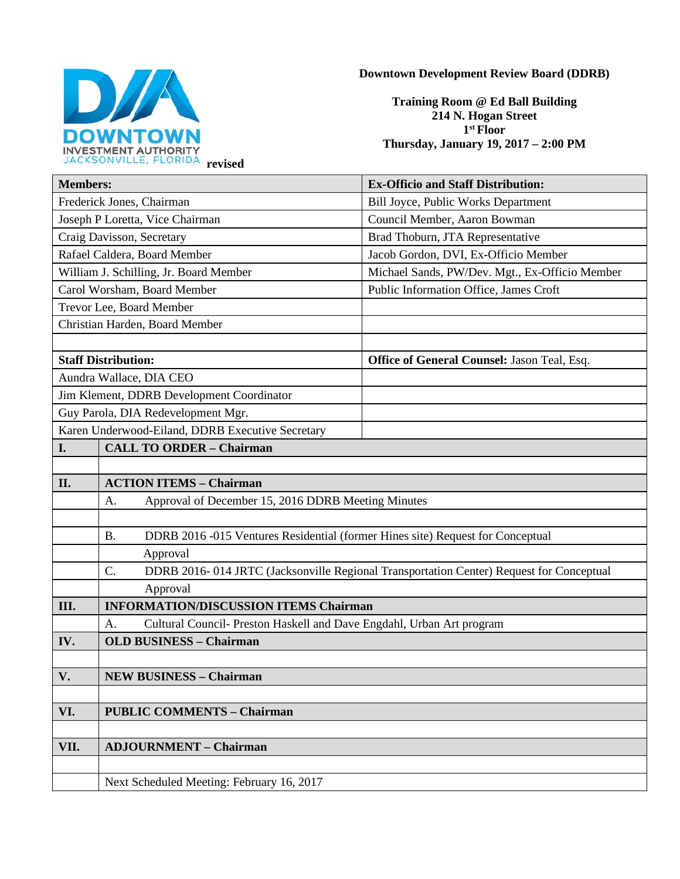

## **Downtown Development Review Board (DDRB)**

**Training Room @ Ed Ball Building 214 N. Hogan Street 1st Floor Thursday, January 19, 2017 – 2:00 PM**

| <b>Members:</b>                                  |                                                                                             | <b>Ex-Officio and Staff Distribution:</b>                                               |
|--------------------------------------------------|---------------------------------------------------------------------------------------------|-----------------------------------------------------------------------------------------|
| Frederick Jones, Chairman                        |                                                                                             | Bill Joyce, Public Works Department                                                     |
| Joseph P Loretta, Vice Chairman                  |                                                                                             | Council Member, Aaron Bowman                                                            |
| Craig Davisson, Secretary                        |                                                                                             | Brad Thoburn, JTA Representative                                                        |
| Rafael Caldera, Board Member                     |                                                                                             | Jacob Gordon, DVI, Ex-Officio Member                                                    |
| William J. Schilling, Jr. Board Member           |                                                                                             | Michael Sands, PW/Dev. Mgt., Ex-Officio Member                                          |
| Carol Worsham, Board Member                      |                                                                                             | Public Information Office, James Croft                                                  |
| Trevor Lee, Board Member                         |                                                                                             |                                                                                         |
| Christian Harden, Board Member                   |                                                                                             |                                                                                         |
|                                                  |                                                                                             |                                                                                         |
| <b>Staff Distribution:</b>                       |                                                                                             | Office of General Counsel: Jason Teal, Esq.                                             |
| Aundra Wallace, DIA CEO                          |                                                                                             |                                                                                         |
| Jim Klement, DDRB Development Coordinator        |                                                                                             |                                                                                         |
| Guy Parola, DIA Redevelopment Mgr.               |                                                                                             |                                                                                         |
| Karen Underwood-Eiland, DDRB Executive Secretary |                                                                                             |                                                                                         |
| I.                                               | <b>CALL TO ORDER - Chairman</b>                                                             |                                                                                         |
|                                                  |                                                                                             |                                                                                         |
| II.                                              | <b>ACTION ITEMS - Chairman</b>                                                              |                                                                                         |
|                                                  | Approval of December 15, 2016 DDRB Meeting Minutes<br>A.                                    |                                                                                         |
|                                                  |                                                                                             |                                                                                         |
|                                                  | DDRB 2016 -015 Ventures Residential (former Hines site) Request for Conceptual<br><b>B.</b> |                                                                                         |
|                                                  | Approval                                                                                    |                                                                                         |
|                                                  | C.                                                                                          | DDRB 2016-014 JRTC (Jacksonville Regional Transportation Center) Request for Conceptual |
|                                                  | Approval                                                                                    |                                                                                         |
| Ш.                                               | <b>INFORMATION/DISCUSSION ITEMS Chairman</b>                                                |                                                                                         |
|                                                  | Cultural Council- Preston Haskell and Dave Engdahl, Urban Art program<br>A.                 |                                                                                         |
| IV.                                              | <b>OLD BUSINESS - Chairman</b>                                                              |                                                                                         |
|                                                  |                                                                                             |                                                                                         |
| V.                                               | <b>NEW BUSINESS - Chairman</b>                                                              |                                                                                         |
|                                                  |                                                                                             |                                                                                         |
| VI.                                              | <b>PUBLIC COMMENTS - Chairman</b>                                                           |                                                                                         |
|                                                  |                                                                                             |                                                                                         |
| VII.                                             | <b>ADJOURNMENT - Chairman</b>                                                               |                                                                                         |
|                                                  |                                                                                             |                                                                                         |
|                                                  | Next Scheduled Meeting: February 16, 2017                                                   |                                                                                         |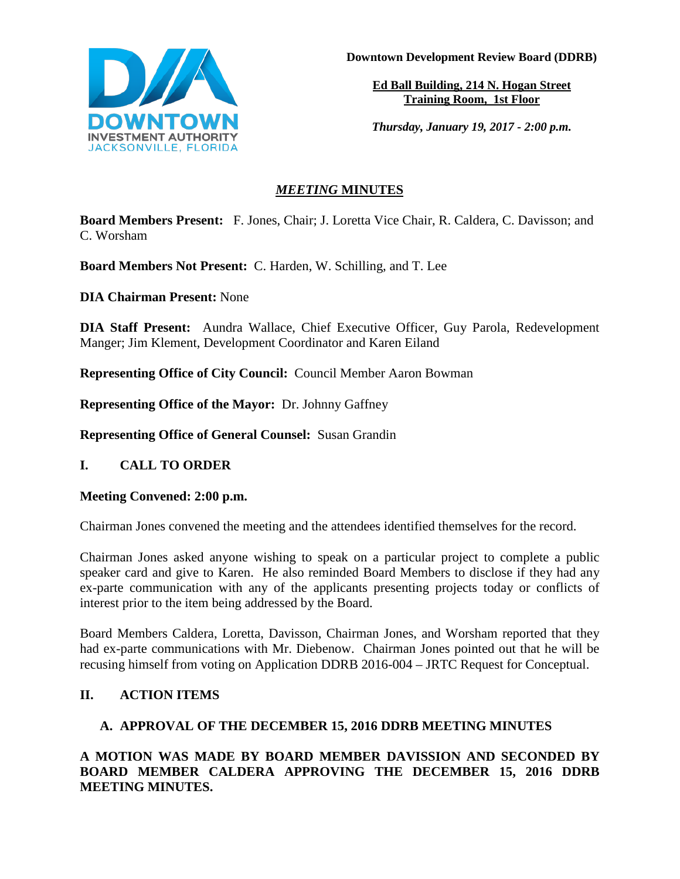

**Downtown Development Review Board (DDRB)**

**Ed Ball Building, 214 N. Hogan Street Training Room, 1st Floor**

*Thursday, January 19, 2017 - 2:00 p.m.*

# *MEETING* **MINUTES**

**Board Members Present:** F. Jones, Chair; J. Loretta Vice Chair, R. Caldera, C. Davisson; and C. Worsham

**Board Members Not Present:** C. Harden, W. Schilling, and T. Lee

**DIA Chairman Present:** None

**DIA Staff Present:** Aundra Wallace, Chief Executive Officer, Guy Parola, Redevelopment Manger; Jim Klement, Development Coordinator and Karen Eiland

**Representing Office of City Council:** Council Member Aaron Bowman

**Representing Office of the Mayor:** Dr. Johnny Gaffney

**Representing Office of General Counsel:** Susan Grandin

## **I. CALL TO ORDER**

#### **Meeting Convened: 2:00 p.m.**

Chairman Jones convened the meeting and the attendees identified themselves for the record.

Chairman Jones asked anyone wishing to speak on a particular project to complete a public speaker card and give to Karen. He also reminded Board Members to disclose if they had any ex-parte communication with any of the applicants presenting projects today or conflicts of interest prior to the item being addressed by the Board.

Board Members Caldera, Loretta, Davisson, Chairman Jones, and Worsham reported that they had ex-parte communications with Mr. Diebenow. Chairman Jones pointed out that he will be recusing himself from voting on Application DDRB 2016-004 – JRTC Request for Conceptual.

## **II. ACTION ITEMS**

## **A. APPROVAL OF THE DECEMBER 15, 2016 DDRB MEETING MINUTES**

**A MOTION WAS MADE BY BOARD MEMBER DAVISSION AND SECONDED BY BOARD MEMBER CALDERA APPROVING THE DECEMBER 15, 2016 DDRB MEETING MINUTES.**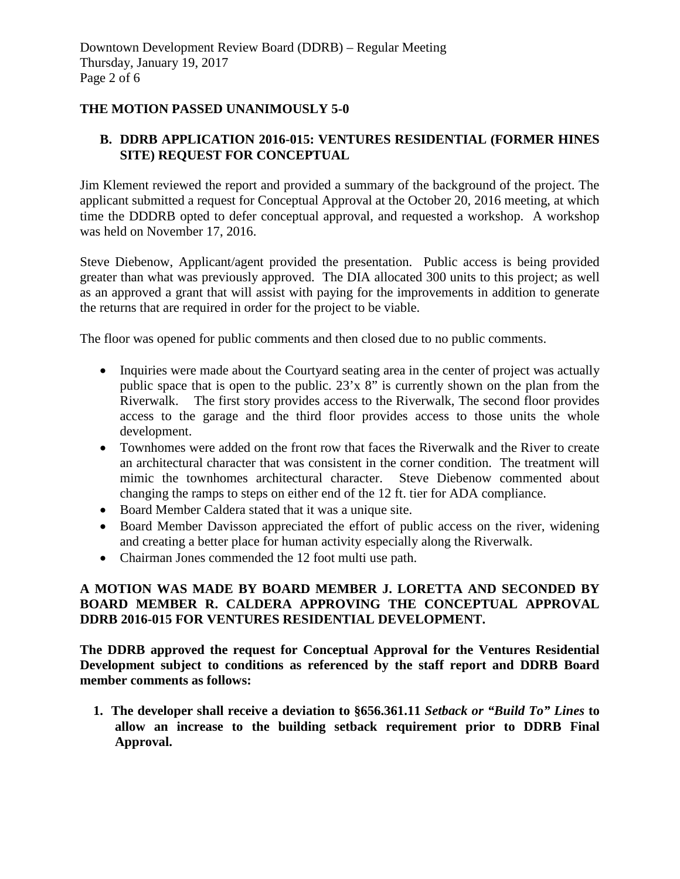## **THE MOTION PASSED UNANIMOUSLY 5-0**

# **B. DDRB APPLICATION 2016-015: VENTURES RESIDENTIAL (FORMER HINES SITE) REQUEST FOR CONCEPTUAL**

Jim Klement reviewed the report and provided a summary of the background of the project. The applicant submitted a request for Conceptual Approval at the October 20, 2016 meeting, at which time the DDDRB opted to defer conceptual approval, and requested a workshop. A workshop was held on November 17, 2016.

Steve Diebenow, Applicant/agent provided the presentation. Public access is being provided greater than what was previously approved. The DIA allocated 300 units to this project; as well as an approved a grant that will assist with paying for the improvements in addition to generate the returns that are required in order for the project to be viable.

The floor was opened for public comments and then closed due to no public comments.

- Inquiries were made about the Courtyard seating area in the center of project was actually public space that is open to the public. 23'x 8" is currently shown on the plan from the Riverwalk. The first story provides access to the Riverwalk, The second floor provides access to the garage and the third floor provides access to those units the whole development.
- Townhomes were added on the front row that faces the Riverwalk and the River to create an architectural character that was consistent in the corner condition. The treatment will mimic the townhomes architectural character. Steve Diebenow commented about changing the ramps to steps on either end of the 12 ft. tier for ADA compliance.
- Board Member Caldera stated that it was a unique site.
- Board Member Davisson appreciated the effort of public access on the river, widening and creating a better place for human activity especially along the Riverwalk.
- Chairman Jones commended the 12 foot multi use path.

# **A MOTION WAS MADE BY BOARD MEMBER J. LORETTA AND SECONDED BY BOARD MEMBER R. CALDERA APPROVING THE CONCEPTUAL APPROVAL DDRB 2016-015 FOR VENTURES RESIDENTIAL DEVELOPMENT.**

**The DDRB approved the request for Conceptual Approval for the Ventures Residential Development subject to conditions as referenced by the staff report and DDRB Board member comments as follows:** 

 **1. The developer shall receive a deviation to §656.361.11** *Setback or "Build To" Lines* **to allow an increase to the building setback requirement prior to DDRB Final Approval.**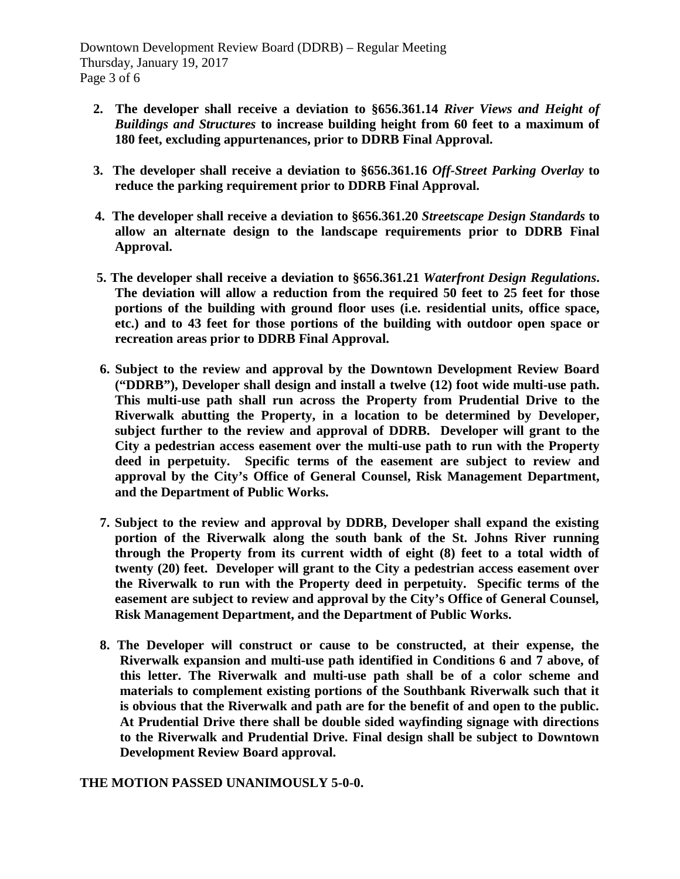- **2. The developer shall receive a deviation to §656.361.14** *River Views and Height of Buildings and Structures* **to increase building height from 60 feet to a maximum of 180 feet, excluding appurtenances, prior to DDRB Final Approval.**
- **3. The developer shall receive a deviation to §656.361.16** *Off-Street Parking Overlay* **to reduce the parking requirement prior to DDRB Final Approval.**
- **4. The developer shall receive a deviation to §656.361.20** *Streetscape Design Standards* **to allow an alternate design to the landscape requirements prior to DDRB Final Approval.**
- **5. The developer shall receive a deviation to §656.361.21** *Waterfront Design Regulations***. The deviation will allow a reduction from the required 50 feet to 25 feet for those portions of the building with ground floor uses (i.e. residential units, office space, etc.) and to 43 feet for those portions of the building with outdoor open space or recreation areas prior to DDRB Final Approval.**
- **6. Subject to the review and approval by the Downtown Development Review Board ("DDRB"), Developer shall design and install a twelve (12) foot wide multi-use path. This multi-use path shall run across the Property from Prudential Drive to the Riverwalk abutting the Property, in a location to be determined by Developer, subject further to the review and approval of DDRB. Developer will grant to the City a pedestrian access easement over the multi-use path to run with the Property deed in perpetuity. Specific terms of the easement are subject to review and approval by the City's Office of General Counsel, Risk Management Department, and the Department of Public Works.**
- **7. Subject to the review and approval by DDRB, Developer shall expand the existing portion of the Riverwalk along the south bank of the St. Johns River running through the Property from its current width of eight (8) feet to a total width of twenty (20) feet. Developer will grant to the City a pedestrian access easement over the Riverwalk to run with the Property deed in perpetuity. Specific terms of the easement are subject to review and approval by the City's Office of General Counsel, Risk Management Department, and the Department of Public Works.**
- **8. The Developer will construct or cause to be constructed, at their expense, the Riverwalk expansion and multi-use path identified in Conditions 6 and 7 above, of this letter. The Riverwalk and multi-use path shall be of a color scheme and materials to complement existing portions of the Southbank Riverwalk such that it is obvious that the Riverwalk and path are for the benefit of and open to the public. At Prudential Drive there shall be double sided wayfinding signage with directions to the Riverwalk and Prudential Drive. Final design shall be subject to Downtown Development Review Board approval.**

#### **THE MOTION PASSED UNANIMOUSLY 5-0-0.**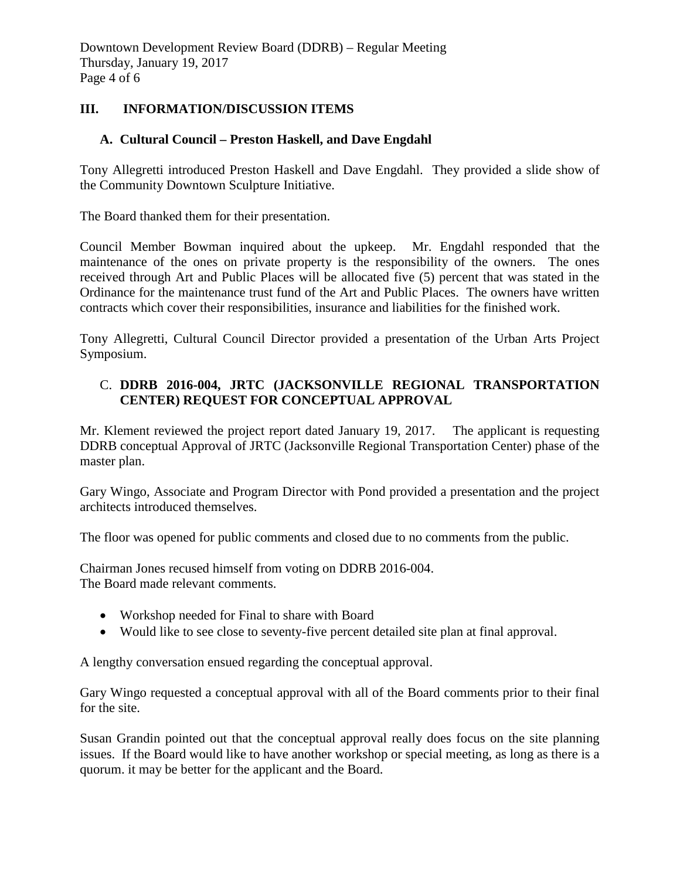Downtown Development Review Board (DDRB) – Regular Meeting Thursday, January 19, 2017 Page 4 of 6

### **III. INFORMATION/DISCUSSION ITEMS**

#### **A. Cultural Council – Preston Haskell, and Dave Engdahl**

Tony Allegretti introduced Preston Haskell and Dave Engdahl. They provided a slide show of the Community Downtown Sculpture Initiative.

The Board thanked them for their presentation.

Council Member Bowman inquired about the upkeep. Mr. Engdahl responded that the maintenance of the ones on private property is the responsibility of the owners. The ones received through Art and Public Places will be allocated five (5) percent that was stated in the Ordinance for the maintenance trust fund of the Art and Public Places. The owners have written contracts which cover their responsibilities, insurance and liabilities for the finished work.

Tony Allegretti, Cultural Council Director provided a presentation of the Urban Arts Project Symposium.

### C. **DDRB 2016-004, JRTC (JACKSONVILLE REGIONAL TRANSPORTATION CENTER) REQUEST FOR CONCEPTUAL APPROVAL**

Mr. Klement reviewed the project report dated January 19, 2017. The applicant is requesting DDRB conceptual Approval of JRTC (Jacksonville Regional Transportation Center) phase of the master plan.

Gary Wingo, Associate and Program Director with Pond provided a presentation and the project architects introduced themselves.

The floor was opened for public comments and closed due to no comments from the public.

Chairman Jones recused himself from voting on DDRB 2016-004. The Board made relevant comments.

- Workshop needed for Final to share with Board
- Would like to see close to seventy-five percent detailed site plan at final approval.

A lengthy conversation ensued regarding the conceptual approval.

Gary Wingo requested a conceptual approval with all of the Board comments prior to their final for the site.

Susan Grandin pointed out that the conceptual approval really does focus on the site planning issues. If the Board would like to have another workshop or special meeting, as long as there is a quorum. it may be better for the applicant and the Board.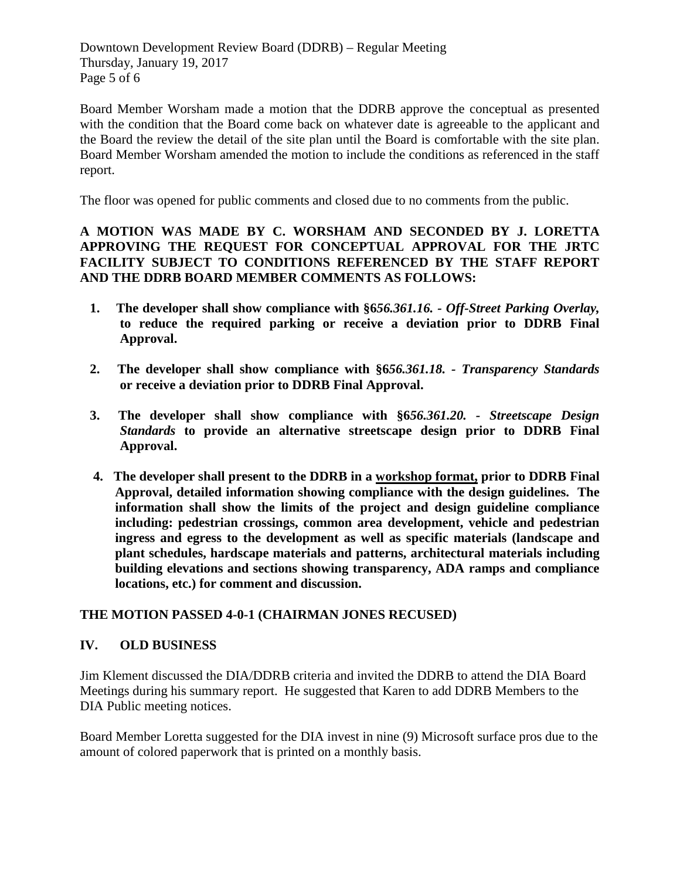Downtown Development Review Board (DDRB) – Regular Meeting Thursday, January 19, 2017 Page 5 of 6

Board Member Worsham made a motion that the DDRB approve the conceptual as presented with the condition that the Board come back on whatever date is agreeable to the applicant and the Board the review the detail of the site plan until the Board is comfortable with the site plan. Board Member Worsham amended the motion to include the conditions as referenced in the staff report.

The floor was opened for public comments and closed due to no comments from the public.

## **A MOTION WAS MADE BY C. WORSHAM AND SECONDED BY J. LORETTA APPROVING THE REQUEST FOR CONCEPTUAL APPROVAL FOR THE JRTC FACILITY SUBJECT TO CONDITIONS REFERENCED BY THE STAFF REPORT AND THE DDRB BOARD MEMBER COMMENTS AS FOLLOWS:**

- **1. The developer shall show compliance with §6***56.361.16. - Off-Street Parking Overlay,* **to reduce the required parking or receive a deviation prior to DDRB Final Approval.**
- **2. The developer shall show compliance with §6***56.361.18. - Transparency Standards* **or receive a deviation prior to DDRB Final Approval.**
- **3. The developer shall show compliance with §6***56.361.20. - Streetscape Design Standards* **to provide an alternative streetscape design prior to DDRB Final Approval.**
- **4. The developer shall present to the DDRB in a workshop format, prior to DDRB Final Approval, detailed information showing compliance with the design guidelines. The information shall show the limits of the project and design guideline compliance including: pedestrian crossings, common area development, vehicle and pedestrian ingress and egress to the development as well as specific materials (landscape and plant schedules, hardscape materials and patterns, architectural materials including building elevations and sections showing transparency, ADA ramps and compliance locations, etc.) for comment and discussion.**

## **THE MOTION PASSED 4-0-1 (CHAIRMAN JONES RECUSED)**

## **IV. OLD BUSINESS**

Jim Klement discussed the DIA/DDRB criteria and invited the DDRB to attend the DIA Board Meetings during his summary report. He suggested that Karen to add DDRB Members to the DIA Public meeting notices.

Board Member Loretta suggested for the DIA invest in nine (9) Microsoft surface pros due to the amount of colored paperwork that is printed on a monthly basis.